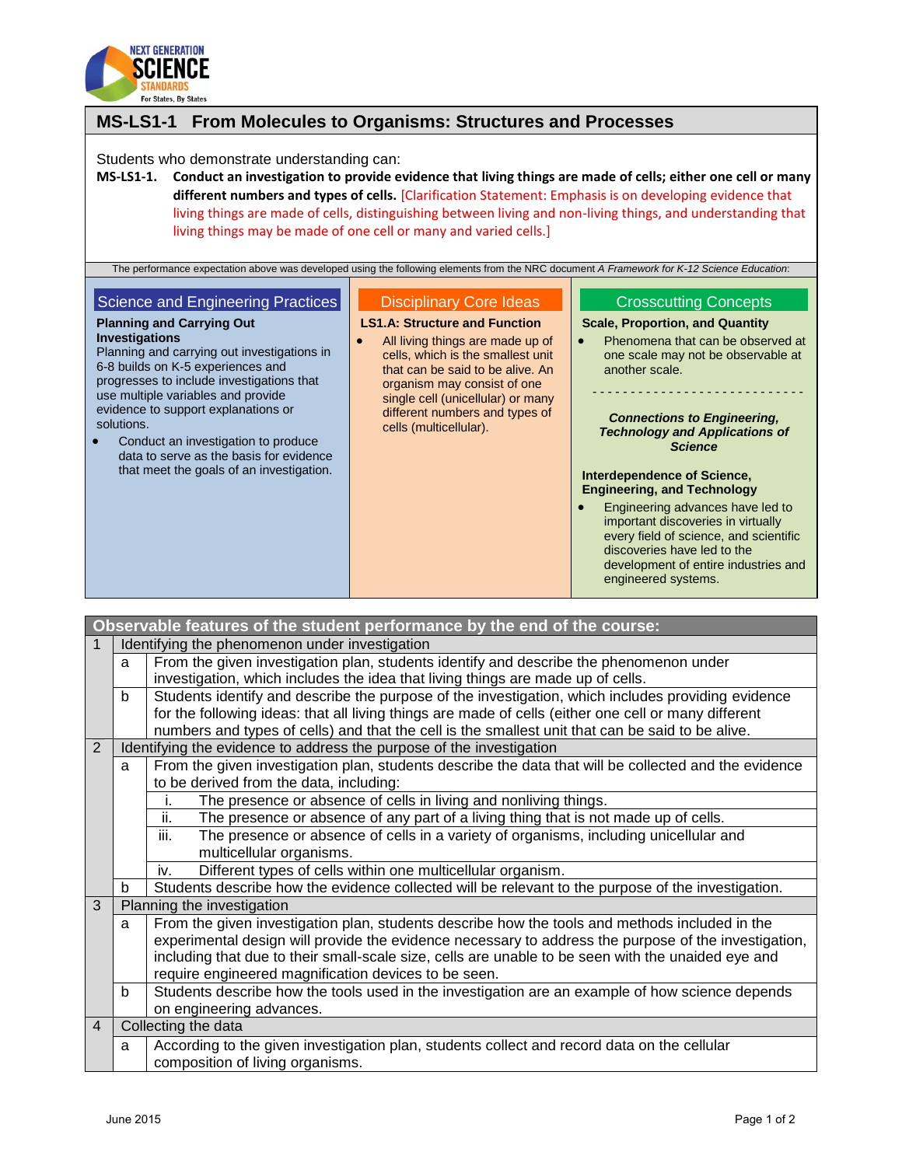

## **MS-LS1-1 From Molecules to Organisms: Structures and Processes** Students who demonstrate understanding can: **MS-LS1-1. Conduct an investigation to provide evidence that living things are made of cells; either one cell or many different numbers and types of cells.** [Clarification Statement: Emphasis is on developing evidence that living things are made of cells, distinguishing between living and non-living things, and understanding that living things may be made of one cell or many and varied cells.] The performance expectation above was developed using the following elements from the NRC document *A Framework for K-12 Science Education*: Science and Engineering Practices **Planning and Carrying Out Investigations** Planning and carrying out investigations in 6-8 builds on K-5 experiences and progresses to include investigations that use multiple variables and provide evidence to support explanations or solutions. • Conduct an investigation to produce data to serve as the basis for evidence that meet the goals of an investigation. Disciplinary Core Ideas **LS1.A: Structure and Function** All living things are made up of cells, which is the smallest unit that can be said to be alive. An organism may consist of one single cell (unicellular) or many different numbers and types of cells (multicellular). Crosscutting Concepts **Scale, Proportion, and Quantity** • Phenomena that can be observed at one scale may not be observable at another scale. - - - - - - - - - - - - - - - - - - - - - - - - - - - - *Connections to Engineering, Technology and Applications of Science* **Interdependence of Science, Engineering, and Technology** Engineering advances have led to important discoveries in virtually every field of science, and scientific discoveries have led to the development of entire industries and engineered systems.

|                                       | Observable features of the student performance by the end of the course: |                                                                                                       |  |  |  |
|---------------------------------------|--------------------------------------------------------------------------|-------------------------------------------------------------------------------------------------------|--|--|--|
| 1                                     |                                                                          | Identifying the phenomenon under investigation                                                        |  |  |  |
|                                       | a                                                                        | From the given investigation plan, students identify and describe the phenomenon under                |  |  |  |
|                                       |                                                                          | investigation, which includes the idea that living things are made up of cells.                       |  |  |  |
|                                       | b                                                                        | Students identify and describe the purpose of the investigation, which includes providing evidence    |  |  |  |
|                                       |                                                                          | for the following ideas: that all living things are made of cells (either one cell or many different  |  |  |  |
|                                       |                                                                          | numbers and types of cells) and that the cell is the smallest unit that can be said to be alive.      |  |  |  |
| 2                                     | Identifying the evidence to address the purpose of the investigation     |                                                                                                       |  |  |  |
|                                       | a                                                                        | From the given investigation plan, students describe the data that will be collected and the evidence |  |  |  |
|                                       |                                                                          | to be derived from the data, including:                                                               |  |  |  |
|                                       |                                                                          | The presence or absence of cells in living and nonliving things.<br>i.                                |  |  |  |
|                                       |                                                                          | ii.<br>The presence or absence of any part of a living thing that is not made up of cells.            |  |  |  |
|                                       |                                                                          | The presence or absence of cells in a variety of organisms, including unicellular and<br>iii.         |  |  |  |
|                                       |                                                                          | multicellular organisms.                                                                              |  |  |  |
|                                       |                                                                          | Different types of cells within one multicellular organism.<br>iv.                                    |  |  |  |
|                                       | b                                                                        | Students describe how the evidence collected will be relevant to the purpose of the investigation.    |  |  |  |
| 3                                     |                                                                          | Planning the investigation                                                                            |  |  |  |
|                                       | a                                                                        | From the given investigation plan, students describe how the tools and methods included in the        |  |  |  |
|                                       |                                                                          | experimental design will provide the evidence necessary to address the purpose of the investigation,  |  |  |  |
|                                       |                                                                          | including that due to their small-scale size, cells are unable to be seen with the unaided eye and    |  |  |  |
|                                       |                                                                          | require engineered magnification devices to be seen.                                                  |  |  |  |
|                                       | b                                                                        | Students describe how the tools used in the investigation are an example of how science depends       |  |  |  |
|                                       |                                                                          | on engineering advances.                                                                              |  |  |  |
| Collecting the data<br>$\overline{4}$ |                                                                          |                                                                                                       |  |  |  |
|                                       | a                                                                        | According to the given investigation plan, students collect and record data on the cellular           |  |  |  |
|                                       |                                                                          | composition of living organisms.                                                                      |  |  |  |